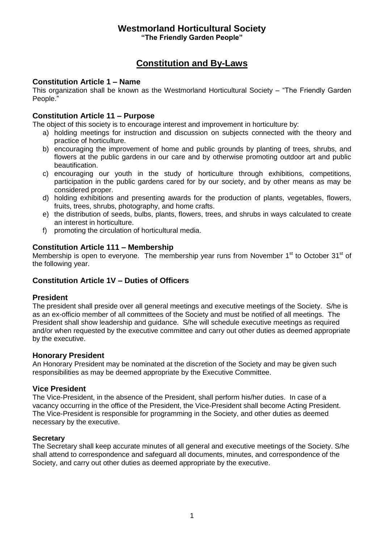## **Westmorland Horticultural Society "The Friendly Garden People"**

# **Constitution and By-Laws**

## **Constitution Article 1 – Name**

This organization shall be known as the Westmorland Horticultural Society – "The Friendly Garden People."

## **Constitution Article 11 – Purpose**

The object of this society is to encourage interest and improvement in horticulture by:

- a) holding meetings for instruction and discussion on subjects connected with the theory and practice of horticulture.
- b) encouraging the improvement of home and public grounds by planting of trees, shrubs, and flowers at the public gardens in our care and by otherwise promoting outdoor art and public beautification.
- c) encouraging our youth in the study of horticulture through exhibitions, competitions, participation in the public gardens cared for by our society, and by other means as may be considered proper.
- d) holding exhibitions and presenting awards for the production of plants, vegetables, flowers, fruits, trees, shrubs, photography, and home crafts.
- e) the distribution of seeds, bulbs, plants, flowers, trees, and shrubs in ways calculated to create an interest in horticulture.
- f) promoting the circulation of horticultural media.

#### **Constitution Article 111 – Membership**

Membership is open to everyone. The membership year runs from November  $1<sup>st</sup>$  to October 31 $<sup>st</sup>$  of</sup> the following year.

## **Constitution Article 1V – Duties of Officers**

#### **President**

The president shall preside over all general meetings and executive meetings of the Society. S/he is as an ex-officio member of all committees of the Society and must be notified of all meetings. The President shall show leadership and guidance. S/he will schedule executive meetings as required and/or when requested by the executive committee and carry out other duties as deemed appropriate by the executive.

#### **Honorary President**

An Honorary President may be nominated at the discretion of the Society and may be given such responsibilities as may be deemed appropriate by the Executive Committee.

#### **Vice President**

The Vice-President, in the absence of the President, shall perform his/her duties. In case of a vacancy occurring in the office of the President, the Vice-President shall become Acting President. The Vice-President is responsible for programming in the Society, and other duties as deemed necessary by the executive.

#### **Secretary**

The Secretary shall keep accurate minutes of all general and executive meetings of the Society. S/he shall attend to correspondence and safeguard all documents, minutes, and correspondence of the Society, and carry out other duties as deemed appropriate by the executive.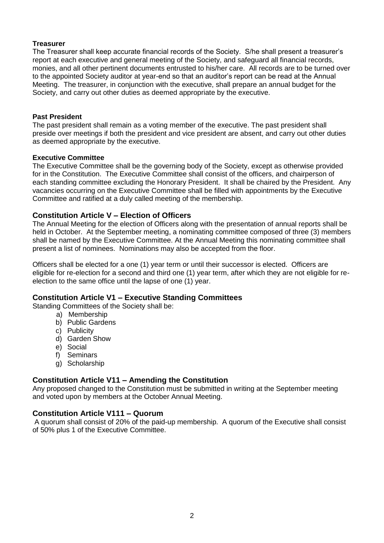## **Treasurer**

The Treasurer shall keep accurate financial records of the Society. S/he shall present a treasurer's report at each executive and general meeting of the Society, and safeguard all financial records, monies, and all other pertinent documents entrusted to his/her care. All records are to be turned over to the appointed Society auditor at year-end so that an auditor's report can be read at the Annual Meeting. The treasurer, in conjunction with the executive, shall prepare an annual budget for the Society, and carry out other duties as deemed appropriate by the executive.

#### **Past President**

The past president shall remain as a voting member of the executive. The past president shall preside over meetings if both the president and vice president are absent, and carry out other duties as deemed appropriate by the executive.

#### **Executive Committee**

The Executive Committee shall be the governing body of the Society, except as otherwise provided for in the Constitution. The Executive Committee shall consist of the officers, and chairperson of each standing committee excluding the Honorary President. It shall be chaired by the President. Any vacancies occurring on the Executive Committee shall be filled with appointments by the Executive Committee and ratified at a duly called meeting of the membership.

## **Constitution Article V – Election of Officers**

The Annual Meeting for the election of Officers along with the presentation of annual reports shall be held in October. At the September meeting, a nominating committee composed of three (3) members shall be named by the Executive Committee. At the Annual Meeting this nominating committee shall present a list of nominees. Nominations may also be accepted from the floor.

Officers shall be elected for a one (1) year term or until their successor is elected. Officers are eligible for re-election for a second and third one (1) year term, after which they are not eligible for reelection to the same office until the lapse of one (1) year.

#### **Constitution Article V1 – Executive Standing Committees**

Standing Committees of the Society shall be:

- a) Membership
	- b) Public Gardens
	- c) Publicity
	- d) Garden Show
	- e) Social
	- f) Seminars
	- g) Scholarship

#### **Constitution Article V11 – Amending the Constitution**

Any proposed changed to the Constitution must be submitted in writing at the September meeting and voted upon by members at the October Annual Meeting.

#### **Constitution Article V111 – Quorum**

A quorum shall consist of 20% of the paid-up membership. A quorum of the Executive shall consist of 50% plus 1 of the Executive Committee.